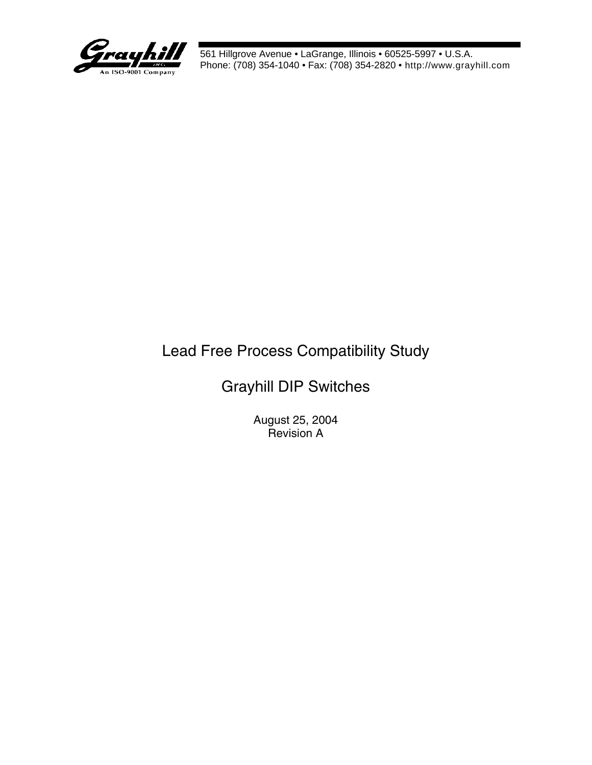

# Lead Free Process Compatibility Study

## Grayhill DIP Switches

August 25, 2004 Revision A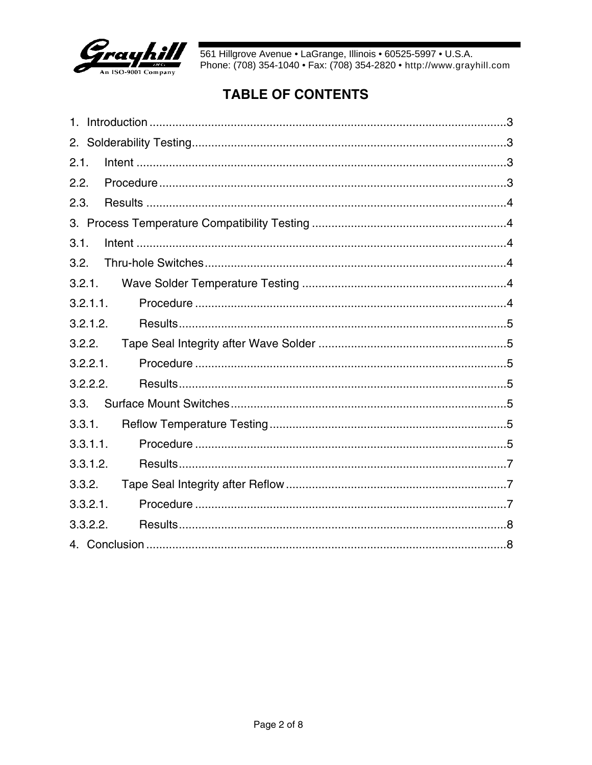

### **TABLE OF CONTENTS**

| 2.1.        |
|-------------|
| 2.2.        |
| 2.3.        |
|             |
| 3.1.        |
| 3.2.        |
| 3.2.1.      |
| 3.2.1.1.    |
| 3.2.1.2.    |
| 3.2.2.      |
| 3.2.2.1.    |
| 3.2.2.2.    |
| 3.3.        |
| 3.3.1.      |
| 3.3.1.1.    |
| 3.3.1.2.    |
| 3.3.2.      |
| $3.3.2.1$ . |
| 3.3.2.2.    |
|             |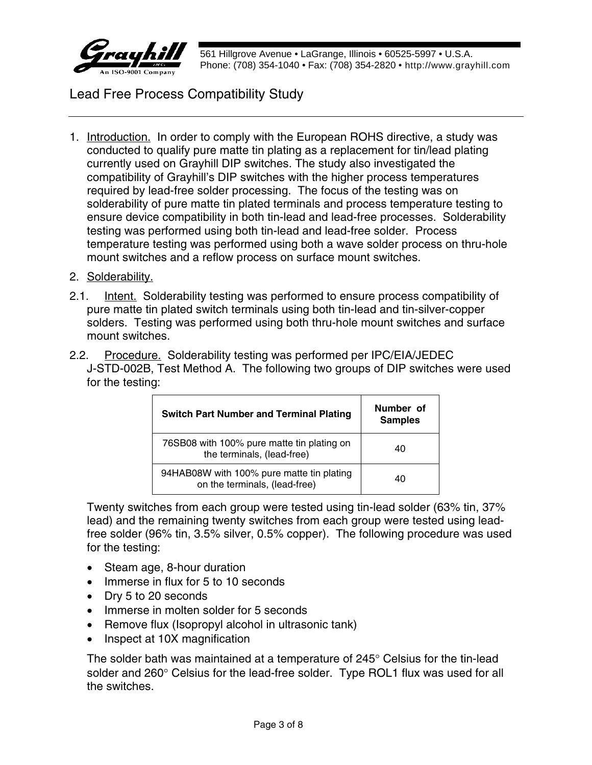

Lead Free Process Compatibility Study

- 1. Introduction. In order to comply with the European ROHS directive, a study was conducted to qualify pure matte tin plating as a replacement for tin/lead plating currently used on Grayhill DIP switches. The study also investigated the compatibility of Grayhill's DIP switches with the higher process temperatures required by lead-free solder processing. The focus of the testing was on solderability of pure matte tin plated terminals and process temperature testing to ensure device compatibility in both tin-lead and lead-free processes. Solderability testing was performed using both tin-lead and lead-free solder. Process temperature testing was performed using both a wave solder process on thru-hole mount switches and a reflow process on surface mount switches.
- 2. Solderability.
- 2.1. Intent. Solderability testing was performed to ensure process compatibility of pure matte tin plated switch terminals using both tin-lead and tin-silver-copper solders. Testing was performed using both thru-hole mount switches and surface mount switches.
- 2.2. Procedure. Solderability testing was performed per IPC/EIA/JEDEC J-STD-002B, Test Method A. The following two groups of DIP switches were used for the testing:

| <b>Switch Part Number and Terminal Plating</b>                             | Number of<br><b>Samples</b> |
|----------------------------------------------------------------------------|-----------------------------|
| 76SB08 with 100% pure matte tin plating on<br>the terminals, (lead-free)   | 40                          |
| 94HAB08W with 100% pure matte tin plating<br>on the terminals, (lead-free) | 40                          |

Twenty switches from each group were tested using tin-lead solder (63% tin, 37% lead) and the remaining twenty switches from each group were tested using leadfree solder (96% tin, 3.5% silver, 0.5% copper). The following procedure was used for the testing:

- Steam age, 8-hour duration
- Immerse in flux for 5 to 10 seconds
- Drv 5 to 20 seconds
- Immerse in molten solder for 5 seconds
- Remove flux (Isopropyl alcohol in ultrasonic tank)
- Inspect at 10X magnification

The solder bath was maintained at a temperature of 245° Celsius for the tin-lead solder and  $260^\circ$  Celsius for the lead-free solder. Type ROL1 flux was used for all the switches.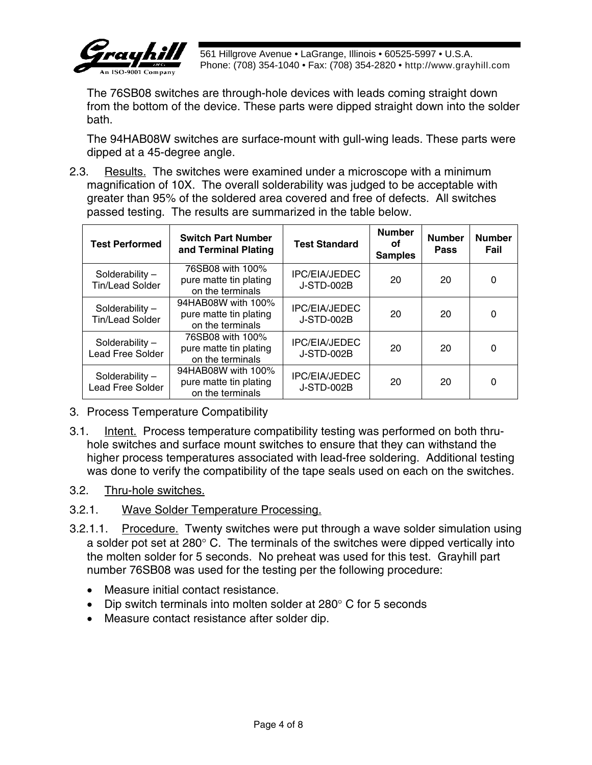

The 76SB08 switches are through-hole devices with leads coming straight down from the bottom of the device. These parts were dipped straight down into the solder bath.

The 94HAB08W switches are surface-mount with gull-wing leads. These parts were dipped at a 45-degree angle.

2.3. Results. The switches were examined under a microscope with a minimum magnification of 10X. The overall solderability was judged to be acceptable with greater than 95% of the soldered area covered and free of defects. All switches passed testing. The results are summarized in the table below.

| <b>Test Performed</b>                      | <b>Switch Part Number</b><br>and Terminal Plating                | <b>Test Standard</b>                      | <b>Number</b><br>οf<br><b>Samples</b> | <b>Number</b><br><b>Pass</b> | <b>Number</b><br>Fail |
|--------------------------------------------|------------------------------------------------------------------|-------------------------------------------|---------------------------------------|------------------------------|-----------------------|
| Solderability -<br><b>Tin/Lead Solder</b>  | 76SB08 with 100%<br>pure matte tin plating<br>on the terminals   | <b>IPC/EIA/JEDEC</b><br><b>J-STD-002B</b> | 20                                    | 20                           | 0                     |
| Solderability -<br><b>Tin/Lead Solder</b>  | 94HAB08W with 100%<br>pure matte tin plating<br>on the terminals | <b>IPC/EIA/JEDEC</b><br><b>J-STD-002B</b> | 20                                    | 20                           | 0                     |
| Solderability-<br><b>Lead Free Solder</b>  | 76SB08 with 100%<br>pure matte tin plating<br>on the terminals   | <b>IPC/EIA/JEDEC</b><br><b>J-STD-002B</b> | 20                                    | 20                           | $\Omega$              |
| Solderability -<br><b>Lead Free Solder</b> | 94HAB08W with 100%<br>pure matte tin plating<br>on the terminals | <b>IPC/EIA/JEDEC</b><br><b>J-STD-002B</b> | 20                                    | 20                           | 0                     |

- 3. Process Temperature Compatibility
- 3.1. Intent. Process temperature compatibility testing was performed on both thruhole switches and surface mount switches to ensure that they can withstand the higher process temperatures associated with lead-free soldering. Additional testing was done to verify the compatibility of the tape seals used on each on the switches.
- 3.2. Thru-hole switches.

### 3.2.1. Wave Solder Temperature Processing.

- 3.2.1.1. Procedure. Twenty switches were put through a wave solder simulation using a solder pot set at 280° C. The terminals of the switches were dipped vertically into the molten solder for 5 seconds. No preheat was used for this test. Grayhill part number 76SB08 was used for the testing per the following procedure:
	- Measure initial contact resistance.
	- Dip switch terminals into molten solder at 280° C for 5 seconds
	- Measure contact resistance after solder dip.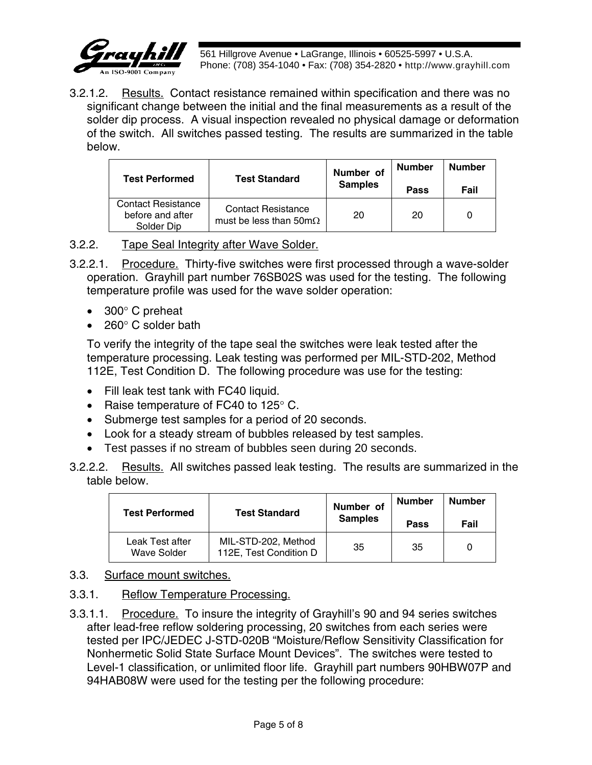

3.2.1.2. Results. Contact resistance remained within specification and there was no significant change between the initial and the final measurements as a result of the solder dip process. A visual inspection revealed no physical damage or deformation of the switch. All switches passed testing. The results are summarized in the table below.

| <b>Test Performed</b>                                       | <b>Test Standard</b>                                               | Number of<br><b>Samples</b> | <b>Number</b><br>Pass | <b>Number</b><br>Fail |
|-------------------------------------------------------------|--------------------------------------------------------------------|-----------------------------|-----------------------|-----------------------|
| <b>Contact Resistance</b><br>before and after<br>Solder Dip | <b>Contact Resistance</b><br>must be less than $50 \text{m}\Omega$ | 20                          | 20                    |                       |

#### 3.2.2. Tape Seal Integrity after Wave Solder.

- 3.2.2.1. Procedure. Thirty-five switches were first processed through a wave-solder operation. Grayhill part number 76SB02S was used for the testing. The following temperature profile was used for the wave solder operation:
	- 300° C preheat
	- $260^\circ$  C solder bath

To verify the integrity of the tape seal the switches were leak tested after the temperature processing. Leak testing was performed per MIL-STD-202, Method 112E, Test Condition D. The following procedure was use for the testing:

- Fill leak test tank with FC40 liquid.
- Raise temperature of FC40 to 125° C.
- Submerge test samples for a period of 20 seconds.
- Look for a steady stream of bubbles released by test samples.
- Test passes if no stream of bubbles seen during 20 seconds.
- 3.2.2.2. Results. All switches passed leak testing. The results are summarized in the table below.

| <b>Test Performed</b>          | <b>Test Standard</b>                          | Number of<br><b>Samples</b> | <b>Number</b><br>Pass | <b>Number</b><br>Fail |
|--------------------------------|-----------------------------------------------|-----------------------------|-----------------------|-----------------------|
| Leak Test after<br>Wave Solder | MIL-STD-202, Method<br>112E, Test Condition D | 35                          | 35                    |                       |

- 3.3. Surface mount switches.
- 3.3.1. Reflow Temperature Processing.
- 3.3.1.1. Procedure. To insure the integrity of Grayhill's 90 and 94 series switches after lead-free reflow soldering processing, 20 switches from each series were tested per IPC/JEDEC J-STD-020B "Moisture/Reflow Sensitivity Classification for Nonhermetic Solid State Surface Mount Devices". The switches were tested to Level-1 classification, or unlimited floor life. Grayhill part numbers 90HBW07P and 94HAB08W were used for the testing per the following procedure: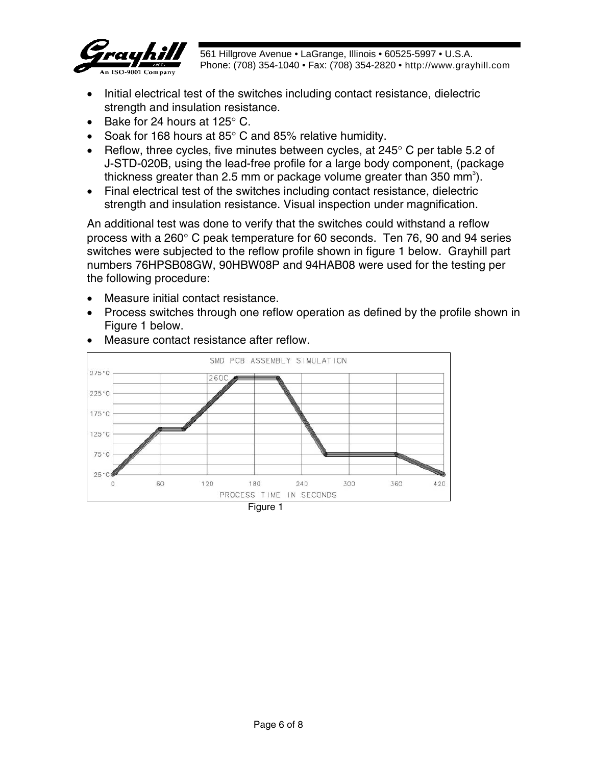

- Initial electrical test of the switches including contact resistance, dielectric strength and insulation resistance.
- Bake for 24 hours at 125° C.
- Soak for 168 hours at 85° C and 85% relative humidity.
- Reflow, three cycles, five minutes between cycles, at 245° C per table 5.2 of J-STD-020B, using the lead-free profile for a large body component, (package thickness greater than 2.5 mm or package volume greater than 350 mm<sup>3</sup>).
- Final electrical test of the switches including contact resistance, dielectric strength and insulation resistance. Visual inspection under magnification.

An additional test was done to verify that the switches could withstand a reflow process with a 260° C peak temperature for 60 seconds. Ten 76, 90 and 94 series switches were subjected to the reflow profile shown in figure 1 below. Grayhill part numbers 76HPSB08GW, 90HBW08P and 94HAB08 were used for the testing per the following procedure:

- Measure initial contact resistance.
- Process switches through one reflow operation as defined by the profile shown in Figure 1 below.



Measure contact resistance after reflow.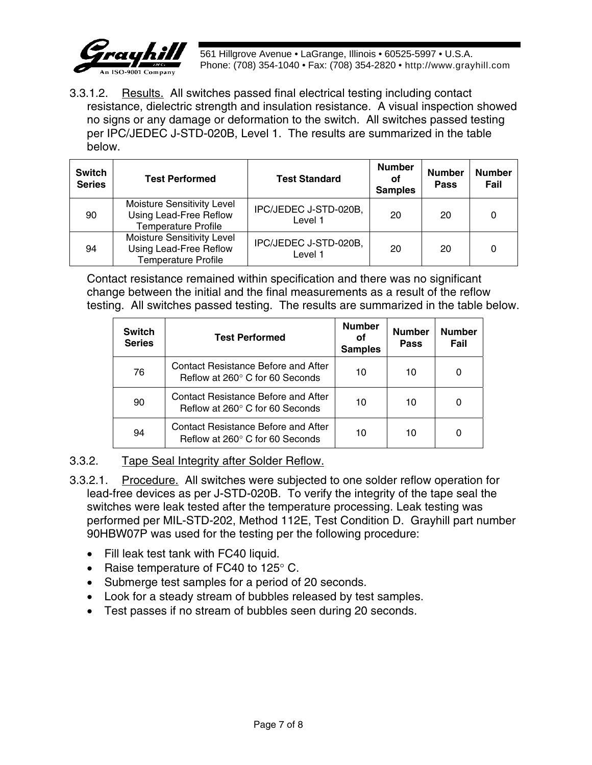

3.3.1.2. Results. All switches passed final electrical testing including contact resistance, dielectric strength and insulation resistance. A visual inspection showed no signs or any damage or deformation to the switch. All switches passed testing per IPC/JEDEC J-STD-020B, Level 1. The results are summarized in the table below.

| <b>Switch</b><br><b>Series</b> | <b>Test Performed</b>                                                              | <b>Test Standard</b>             | <b>Number</b><br>оf<br><b>Samples</b> | <b>Number</b><br>Pass | <b>Number</b><br>Fail |
|--------------------------------|------------------------------------------------------------------------------------|----------------------------------|---------------------------------------|-----------------------|-----------------------|
| 90                             | Moisture Sensitivity Level<br>Using Lead-Free Reflow<br><b>Temperature Profile</b> | IPC/JEDEC J-STD-020B,<br>Level 1 | 20                                    | 20                    | 0                     |
| 94                             | Moisture Sensitivity Level<br>Using Lead-Free Reflow<br><b>Temperature Profile</b> | IPC/JEDEC J-STD-020B,<br>Level 1 | 20                                    | 20                    | 0                     |

Contact resistance remained within specification and there was no significant change between the initial and the final measurements as a result of the reflow testing. All switches passed testing. The results are summarized in the table below.

| <b>Switch</b><br><b>Series</b> | <b>Test Performed</b>                                                         | <b>Number</b><br>οf<br><b>Samples</b> | <b>Number</b><br><b>Pass</b> | <b>Number</b><br>Fail |
|--------------------------------|-------------------------------------------------------------------------------|---------------------------------------|------------------------------|-----------------------|
| 76                             | Contact Resistance Before and After<br>Reflow at 260° C for 60 Seconds        | 10                                    | 10                           |                       |
| 90                             | Contact Resistance Before and After<br>Reflow at 260° C for 60 Seconds        | 10                                    | 10                           |                       |
| 94                             | <b>Contact Resistance Before and After</b><br>Reflow at 260° C for 60 Seconds | 10                                    | 10                           |                       |

### 3.3.2. Tape Seal Integrity after Solder Reflow.

- 3.3.2.1. Procedure. All switches were subjected to one solder reflow operation for lead-free devices as per J-STD-020B. To verify the integrity of the tape seal the switches were leak tested after the temperature processing. Leak testing was performed per MIL-STD-202, Method 112E, Test Condition D. Grayhill part number 90HBW07P was used for the testing per the following procedure:
	- Fill leak test tank with FC40 liquid.
	- Raise temperature of FC40 to 125° C.
	- Submerge test samples for a period of 20 seconds.
	- Look for a steady stream of bubbles released by test samples.
	- Test passes if no stream of bubbles seen during 20 seconds.